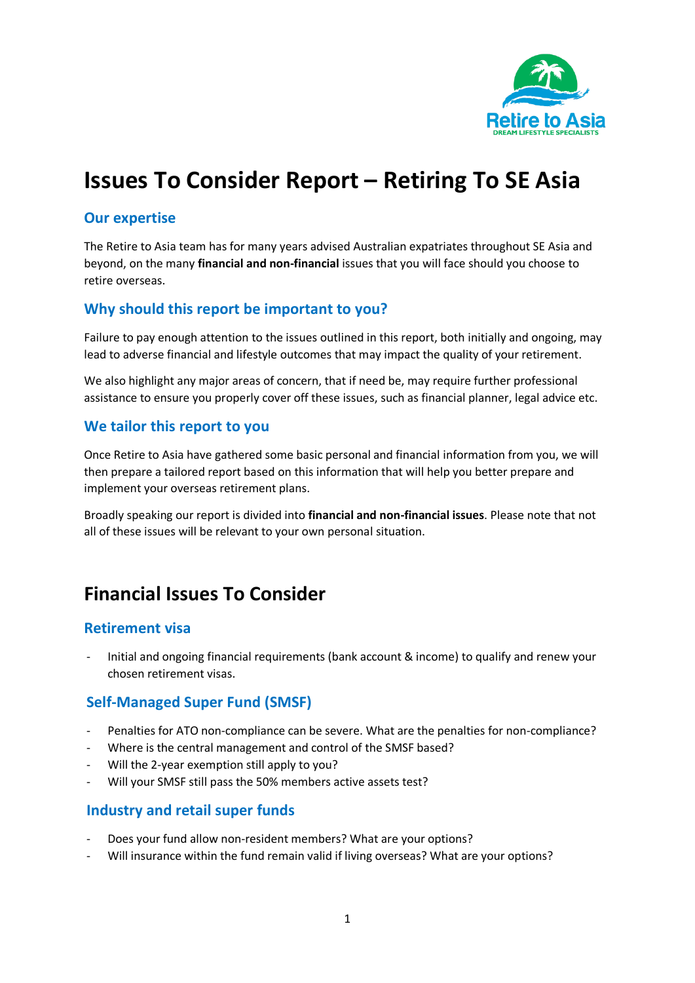

# **Issues To Consider Report – Retiring To SE Asia**

#### **Our expertise**

The Retire to Asia team has for many years advised Australian expatriates throughout SE Asia and beyond, on the many **financial and non-financial** issues that you will face should you choose to retire overseas.

#### **Why should this report be important to you?**

Failure to pay enough attention to the issues outlined in this report, both initially and ongoing, may lead to adverse financial and lifestyle outcomes that may impact the quality of your retirement.

We also highlight any major areas of concern, that if need be, may require further professional assistance to ensure you properly cover off these issues, such as financial planner, legal advice etc.

#### **We tailor this report to you**

Once Retire to Asia have gathered some basic personal and financial information from you, we will then prepare a tailored report based on this information that will help you better prepare and implement your overseas retirement plans.

Broadly speaking our report is divided into **financial and non-financial issues**. Please note that not all of these issues will be relevant to your own personal situation.

## **Financial Issues To Consider**

#### **Retirement visa**

- Initial and ongoing financial requirements (bank account & income) to qualify and renew your chosen retirement visas.

#### **Self-Managed Super Fund (SMSF)**

- Penalties for ATO non-compliance can be severe. What are the penalties for non-compliance?
- Where is the central management and control of the SMSF based?
- Will the 2-year exemption still apply to you?
- Will your SMSF still pass the 50% members active assets test?

#### **Industry and retail super funds**

- Does your fund allow non-resident members? What are your options?
- Will insurance within the fund remain valid if living overseas? What are your options?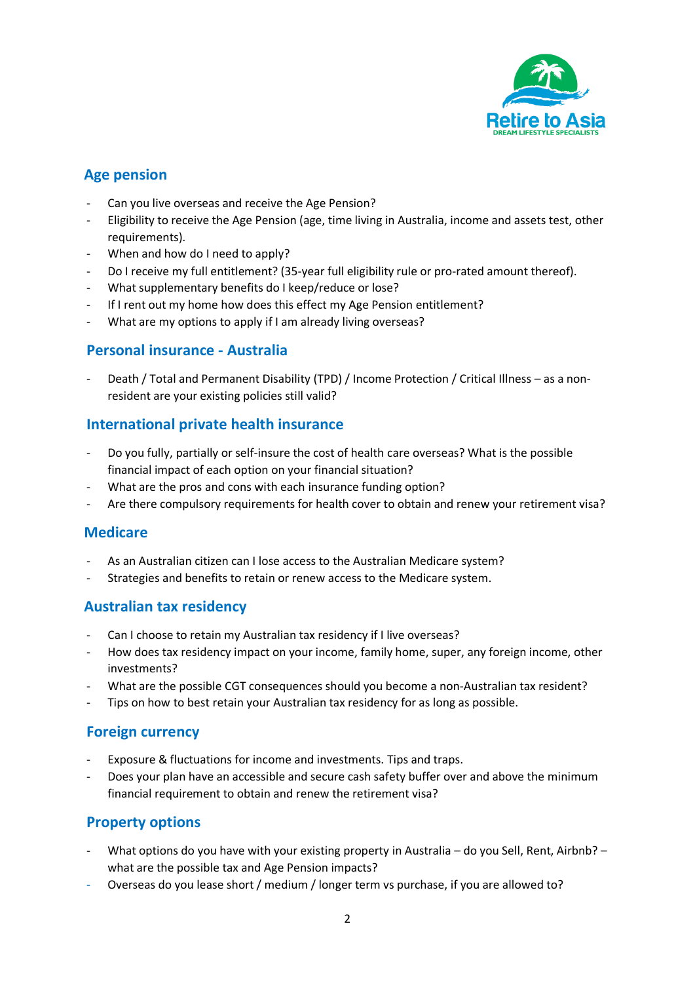

### **Age pension**

- Can you live overseas and receive the Age Pension?
- Eligibility to receive the Age Pension (age, time living in Australia, income and assets test, other requirements).
- When and how do I need to apply?
- Do I receive my full entitlement? (35-year full eligibility rule or pro-rated amount thereof).
- What supplementary benefits do I keep/reduce or lose?
- If I rent out my home how does this effect my Age Pension entitlement?
- What are my options to apply if I am already living overseas?

#### **Personal insurance - Australia**

- Death / Total and Permanent Disability (TPD) / Income Protection / Critical Illness – as a nonresident are your existing policies still valid?

### **International private health insurance**

- Do you fully, partially or self-insure the cost of health care overseas? What is the possible financial impact of each option on your financial situation?
- What are the pros and cons with each insurance funding option?
- Are there compulsory requirements for health cover to obtain and renew your retirement visa?

#### **Medicare**

- As an Australian citizen can I lose access to the Australian Medicare system?
- Strategies and benefits to retain or renew access to the Medicare system.

#### **Australian tax residency**

- Can I choose to retain my Australian tax residency if I live overseas?
- How does tax residency impact on your income, family home, super, any foreign income, other investments?
- What are the possible CGT consequences should you become a non-Australian tax resident?
- Tips on how to best retain your Australian tax residency for as long as possible.

### **Foreign currency**

- Exposure & fluctuations for income and investments. Tips and traps.
- Does your plan have an accessible and secure cash safety buffer over and above the minimum financial requirement to obtain and renew the retirement visa?

#### **Property options**

- What options do you have with your existing property in Australia do you Sell, Rent, Airbnb? what are the possible tax and Age Pension impacts?
- Overseas do you lease short / medium / longer term vs purchase, if you are allowed to?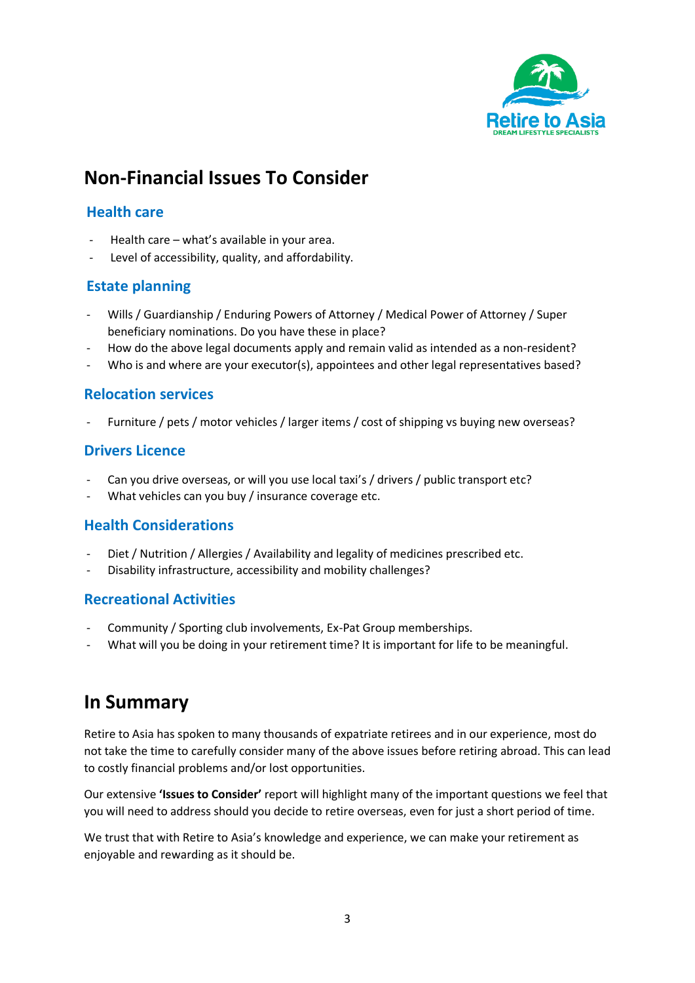

# **Non-Financial Issues To Consider**

#### **Health care**

- Health care what's available in your area.
- Level of accessibility, quality, and affordability.

#### **Estate planning**

- Wills / Guardianship / Enduring Powers of Attorney / Medical Power of Attorney / Super beneficiary nominations. Do you have these in place?
- How do the above legal documents apply and remain valid as intended as a non-resident?
- Who is and where are your executor(s), appointees and other legal representatives based?

#### **Relocation services**

Furniture / pets / motor vehicles / larger items / cost of shipping vs buying new overseas?

#### **Drivers Licence**

- Can you drive overseas, or will you use local taxi's / drivers / public transport etc?
- What vehicles can you buy / insurance coverage etc.

#### **Health Considerations**

- Diet / Nutrition / Allergies / Availability and legality of medicines prescribed etc.
- Disability infrastructure, accessibility and mobility challenges?

#### **Recreational Activities**

- Community / Sporting club involvements, Ex-Pat Group memberships.
- What will you be doing in your retirement time? It is important for life to be meaningful.

## **In Summary**

Retire to Asia has spoken to many thousands of expatriate retirees and in our experience, most do not take the time to carefully consider many of the above issues before retiring abroad. This can lead to costly financial problems and/or lost opportunities.

Our extensive **'Issues to Consider'** report will highlight many of the important questions we feel that you will need to address should you decide to retire overseas, even for just a short period of time.

We trust that with Retire to Asia's knowledge and experience, we can make your retirement as enjoyable and rewarding as it should be.